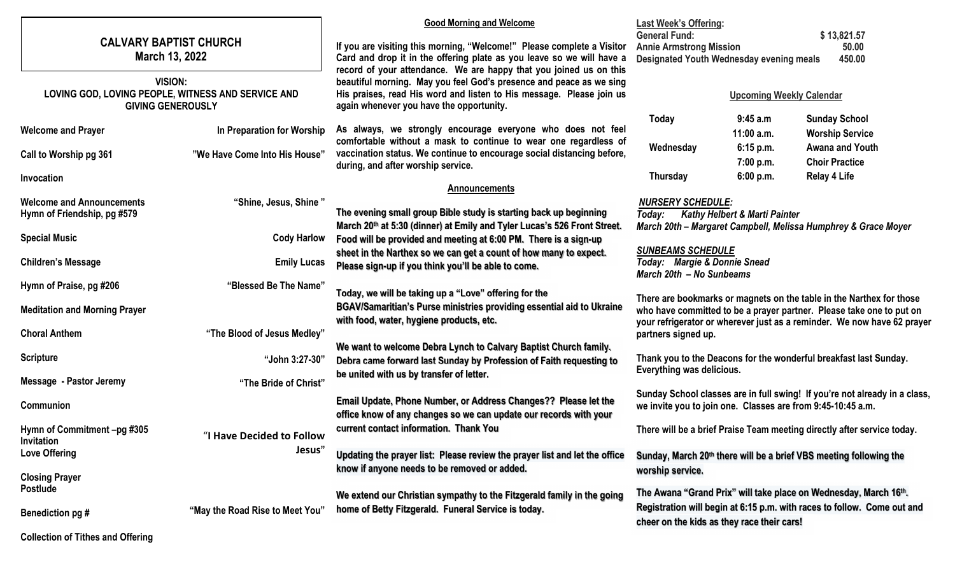|                   | <b>CALVARY BAPTIST CHURCH</b><br>March 13, 2022                                                  |                                 | <b>Good Morning and Welcome</b>                                            | <b>Last Week's Offering:</b>                                                                                                                                                                                                                   |                                          |                                                                            |
|-------------------|--------------------------------------------------------------------------------------------------|---------------------------------|----------------------------------------------------------------------------|------------------------------------------------------------------------------------------------------------------------------------------------------------------------------------------------------------------------------------------------|------------------------------------------|----------------------------------------------------------------------------|
|                   |                                                                                                  |                                 |                                                                            | <b>General Fund:</b>                                                                                                                                                                                                                           |                                          | \$13,821.57                                                                |
|                   |                                                                                                  |                                 | If you are visiting this morning, "Welcome!" Please complete a Visitor     | <b>Annie Armstrong Mission</b><br>50.00                                                                                                                                                                                                        |                                          |                                                                            |
|                   |                                                                                                  |                                 | Card and drop it in the offering plate as you leave so we will have a      | 450.00<br>Designated Youth Wednesday evening meals                                                                                                                                                                                             |                                          |                                                                            |
|                   |                                                                                                  |                                 | record of your attendance. We are happy that you joined us on this         |                                                                                                                                                                                                                                                |                                          |                                                                            |
|                   | <b>VISION:</b><br>LOVING GOD, LOVING PEOPLE, WITNESS AND SERVICE AND<br><b>GIVING GENEROUSLY</b> |                                 | beautiful morning. May you feel God's presence and peace as we sing        |                                                                                                                                                                                                                                                |                                          |                                                                            |
|                   |                                                                                                  |                                 | His praises, read His word and listen to His message. Please join us       | <b>Upcoming Weekly Calendar</b>                                                                                                                                                                                                                |                                          |                                                                            |
|                   |                                                                                                  |                                 | again whenever you have the opportunity.                                   |                                                                                                                                                                                                                                                |                                          |                                                                            |
|                   |                                                                                                  |                                 | As always, we strongly encourage everyone who does not feel                | Today                                                                                                                                                                                                                                          | 9:45 a.m                                 | <b>Sunday School</b>                                                       |
|                   | <b>Welcome and Prayer</b>                                                                        | In Preparation for Worship      | comfortable without a mask to continue to wear one regardless of           |                                                                                                                                                                                                                                                | $11:00$ a.m.                             | <b>Worship Service</b>                                                     |
|                   | Call to Worship pg 361                                                                           | "We Have Come Into His House"   | vaccination status. We continue to encourage social distancing before,     | Wednesday                                                                                                                                                                                                                                      | 6:15 p.m.                                | <b>Awana and Youth</b>                                                     |
|                   |                                                                                                  |                                 | during, and after worship service.                                         |                                                                                                                                                                                                                                                | 7:00 p.m.                                | <b>Choir Practice</b>                                                      |
|                   | Invocation                                                                                       |                                 |                                                                            | Thursday                                                                                                                                                                                                                                       | 6:00 p.m.                                | <b>Relay 4 Life</b>                                                        |
|                   |                                                                                                  |                                 | <b>Announcements</b>                                                       |                                                                                                                                                                                                                                                |                                          |                                                                            |
|                   | <b>Welcome and Announcements</b>                                                                 | "Shine, Jesus, Shine"           |                                                                            | <b>NURSERY SCHEDULE:</b>                                                                                                                                                                                                                       |                                          |                                                                            |
|                   | Hymn of Friendship, pg #579                                                                      |                                 | The evening small group Bible study is starting back up beginning          | Today:                                                                                                                                                                                                                                         | <b>Kathy Helbert &amp; Marti Painter</b> |                                                                            |
|                   |                                                                                                  |                                 | March 20th at 5:30 (dinner) at Emily and Tyler Lucas's 526 Front Street.   |                                                                                                                                                                                                                                                |                                          | March 20th - Margaret Campbell, Melissa Humphrey & Grace Moyer             |
|                   | <b>Special Music</b>                                                                             | <b>Cody Harlow</b>              | Food will be provided and meeting at 6:00 PM. There is a sign-up           |                                                                                                                                                                                                                                                |                                          |                                                                            |
|                   |                                                                                                  |                                 | sheet in the Narthex so we can get a count of how many to expect.          | <b>SUNBEAMS SCHEDULE</b>                                                                                                                                                                                                                       |                                          |                                                                            |
|                   | <b>Children's Message</b>                                                                        | <b>Emily Lucas</b>              | Please sign-up if you think you'll be able to come.                        | Today: Margie & Donnie Snead                                                                                                                                                                                                                   |                                          |                                                                            |
|                   |                                                                                                  |                                 |                                                                            | March 20th - No Sunbeams                                                                                                                                                                                                                       |                                          |                                                                            |
|                   | Hymn of Praise, pg #206                                                                          | "Blessed Be The Name"           | Today, we will be taking up a "Love" offering for the                      | There are bookmarks or magnets on the table in the Narthex for those<br>who have committed to be a prayer partner. Please take one to put on<br>your refrigerator or wherever just as a reminder. We now have 62 prayer<br>partners signed up. |                                          |                                                                            |
|                   |                                                                                                  |                                 | BGAV/Samaritian's Purse ministries providing essential aid to Ukraine      |                                                                                                                                                                                                                                                |                                          |                                                                            |
|                   | <b>Meditation and Morning Prayer</b>                                                             |                                 | with food, water, hygiene products, etc.                                   |                                                                                                                                                                                                                                                |                                          |                                                                            |
|                   | <b>Choral Anthem</b>                                                                             | "The Blood of Jesus Medley"     |                                                                            |                                                                                                                                                                                                                                                |                                          |                                                                            |
|                   |                                                                                                  |                                 |                                                                            |                                                                                                                                                                                                                                                |                                          |                                                                            |
|                   | <b>Scripture</b>                                                                                 | "John 3:27-30"                  | We want to welcome Debra Lynch to Calvary Baptist Church family.           | Thank you to the Deacons for the wonderful breakfast last Sunday.<br>Everything was delicious.                                                                                                                                                 |                                          |                                                                            |
|                   |                                                                                                  |                                 | Debra came forward last Sunday by Profession of Faith requesting to        |                                                                                                                                                                                                                                                |                                          |                                                                            |
|                   | <b>Message - Pastor Jeremy</b>                                                                   | "The Bride of Christ"           | be united with us by transfer of letter.                                   |                                                                                                                                                                                                                                                |                                          |                                                                            |
|                   |                                                                                                  |                                 |                                                                            |                                                                                                                                                                                                                                                |                                          | Sunday School classes are in full swing! If you're not already in a class, |
|                   | Communion                                                                                        |                                 | Email Update, Phone Number, or Address Changes?? Please let the            | we invite you to join one. Classes are from 9:45-10:45 a.m.                                                                                                                                                                                    |                                          |                                                                            |
|                   |                                                                                                  |                                 | office know of any changes so we can update our records with your          |                                                                                                                                                                                                                                                |                                          |                                                                            |
|                   | Hymn of Commitment -pg #305                                                                      | "I Have Decided to Follow       | current contact information. Thank You                                     |                                                                                                                                                                                                                                                |                                          | There will be a brief Praise Team meeting directly after service today.    |
| <b>Invitation</b> |                                                                                                  |                                 |                                                                            |                                                                                                                                                                                                                                                |                                          |                                                                            |
|                   | <b>Love Offering</b>                                                                             | Jesus'                          | Updating the prayer list: Please review the prayer list and let the office | Sunday, March 20th there will be a brief VBS meeting following the                                                                                                                                                                             |                                          |                                                                            |
|                   |                                                                                                  |                                 | know if anyone needs to be removed or added.                               | worship service.                                                                                                                                                                                                                               |                                          |                                                                            |
|                   | <b>Closing Prayer</b>                                                                            |                                 |                                                                            |                                                                                                                                                                                                                                                |                                          |                                                                            |
|                   | <b>Postlude</b>                                                                                  |                                 | We extend our Christian sympathy to the Fitzgerald family in the going     |                                                                                                                                                                                                                                                |                                          | The Awana "Grand Prix" will take place on Wednesday, March 16th.           |
|                   | Benediction pg #                                                                                 | "May the Road Rise to Meet You" | home of Betty Fitzgerald. Funeral Service is today.                        |                                                                                                                                                                                                                                                |                                          | Registration will begin at 6:15 p.m. with races to follow. Come out and    |
|                   |                                                                                                  |                                 |                                                                            | cheer on the kids as they race their cars!                                                                                                                                                                                                     |                                          |                                                                            |
|                   |                                                                                                  |                                 |                                                                            |                                                                                                                                                                                                                                                |                                          |                                                                            |

Collection of Tithes and Offering